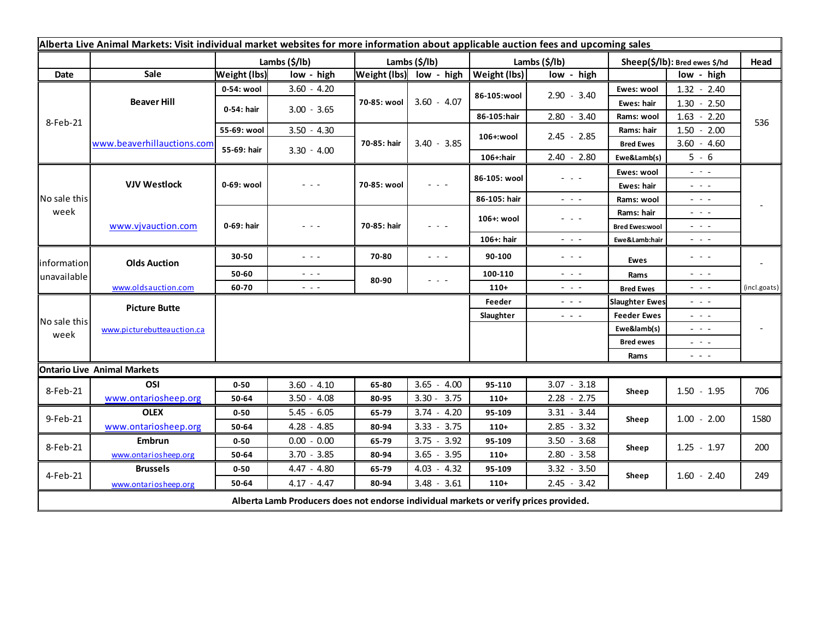| Alberta Live Animal Markets: Visit individual market websites for more information about applicable auction fees and upcoming sales |                            |                     |                                                                                             |               |                                                                                                                           |               |                                                                                                                                                                                                                                                                                                                                                                                                                                                |                               |                                                                                                                                                                                                              |              |  |
|-------------------------------------------------------------------------------------------------------------------------------------|----------------------------|---------------------|---------------------------------------------------------------------------------------------|---------------|---------------------------------------------------------------------------------------------------------------------------|---------------|------------------------------------------------------------------------------------------------------------------------------------------------------------------------------------------------------------------------------------------------------------------------------------------------------------------------------------------------------------------------------------------------------------------------------------------------|-------------------------------|--------------------------------------------------------------------------------------------------------------------------------------------------------------------------------------------------------------|--------------|--|
|                                                                                                                                     |                            | Lambs (\$/lb)       |                                                                                             | Lambs (\$/lb) |                                                                                                                           | Lambs (\$/lb) |                                                                                                                                                                                                                                                                                                                                                                                                                                                | Sheep(\$/lb): Bred ewes \$/hd |                                                                                                                                                                                                              | Head         |  |
| Date                                                                                                                                | Sale                       | <b>Weight (lbs)</b> | low - high                                                                                  |               | Weight (lbs) low - high                                                                                                   | Weight (lbs)  | low - high                                                                                                                                                                                                                                                                                                                                                                                                                                     |                               | low - high                                                                                                                                                                                                   |              |  |
| 8-Feb-21                                                                                                                            | <b>Beaver Hill</b>         | 0-54: wool          | $3.60 - 4.20$                                                                               | 70-85: wool   | $3.60 - 4.07$                                                                                                             | 86-105:wool   | $2.90 - 3.40$                                                                                                                                                                                                                                                                                                                                                                                                                                  | Ewes: wool                    | $1.32 - 2.40$                                                                                                                                                                                                |              |  |
|                                                                                                                                     |                            | 0-54: hair          | $3.00 - 3.65$                                                                               |               |                                                                                                                           |               |                                                                                                                                                                                                                                                                                                                                                                                                                                                | Ewes: hair                    | $1.30 - 2.50$                                                                                                                                                                                                |              |  |
|                                                                                                                                     |                            |                     |                                                                                             |               |                                                                                                                           | 86-105:hair   | $2.80 - 3.40$                                                                                                                                                                                                                                                                                                                                                                                                                                  | Rams: wool                    | $1.63 - 2.20$                                                                                                                                                                                                | 536          |  |
|                                                                                                                                     | www.beaverhillauctions.com | 55-69: wool         | $3.50 - 4.30$                                                                               | 70-85: hair   | $3.40 - 3.85$                                                                                                             | 106+:wool     | $2.45 - 2.85$                                                                                                                                                                                                                                                                                                                                                                                                                                  | Rams: hair                    | $1.50 - 2.00$                                                                                                                                                                                                |              |  |
|                                                                                                                                     |                            | 55-69: hair         | $3.30 - 4.00$                                                                               |               |                                                                                                                           |               |                                                                                                                                                                                                                                                                                                                                                                                                                                                | <b>Bred Ewes</b>              | $3.60 - 4.60$                                                                                                                                                                                                |              |  |
|                                                                                                                                     |                            |                     |                                                                                             |               |                                                                                                                           | 106+:hair     | $2.40 - 2.80$                                                                                                                                                                                                                                                                                                                                                                                                                                  | Ewe&Lamb(s)                   | $5 - 6$                                                                                                                                                                                                      |              |  |
| No sale this<br>week                                                                                                                | <b>VJV Westlock</b>        | 0-69: wool          | $  -$                                                                                       | 70-85: wool   | $\frac{1}{2} \left( \frac{1}{2} \right) \left( \frac{1}{2} \right) \left( \frac{1}{2} \right) \left( \frac{1}{2} \right)$ | 86-105: wool  | - - -                                                                                                                                                                                                                                                                                                                                                                                                                                          | Ewes: wool                    | $\omega_{\rm{eff}}$ and $\omega_{\rm{eff}}$                                                                                                                                                                  |              |  |
|                                                                                                                                     |                            |                     |                                                                                             |               |                                                                                                                           |               |                                                                                                                                                                                                                                                                                                                                                                                                                                                | Ewes: hair                    | $  -$                                                                                                                                                                                                        |              |  |
|                                                                                                                                     |                            |                     |                                                                                             |               |                                                                                                                           | 86-105: hair  | $\frac{1}{2} \left( \frac{1}{2} \right) = \frac{1}{2} \left( \frac{1}{2} \right)$                                                                                                                                                                                                                                                                                                                                                              | Rams: wool                    | $  -$                                                                                                                                                                                                        |              |  |
|                                                                                                                                     | www.vjvauction.com         | 0-69: hair          | - - -                                                                                       | 70-85: hair   | - - -                                                                                                                     | 106+: wool    | $\frac{1}{2} \left( \frac{1}{2} \right) \frac{1}{2} \left( \frac{1}{2} \right) \frac{1}{2} \left( \frac{1}{2} \right)$                                                                                                                                                                                                                                                                                                                         | Rams: hair                    | $  -$                                                                                                                                                                                                        |              |  |
|                                                                                                                                     |                            |                     |                                                                                             |               |                                                                                                                           |               |                                                                                                                                                                                                                                                                                                                                                                                                                                                | <b>Bred Ewes:wool</b>         | $\frac{1}{2} \left( \frac{1}{2} \right) = \frac{1}{2} \left( \frac{1}{2} \right)$                                                                                                                            |              |  |
|                                                                                                                                     |                            |                     |                                                                                             |               |                                                                                                                           | 106+: hair    | $\frac{1}{2} \left( \frac{1}{2} \right) \left( \frac{1}{2} \right) \left( \frac{1}{2} \right) \left( \frac{1}{2} \right)$                                                                                                                                                                                                                                                                                                                      | Ewe&Lamb:hair                 | $\frac{1}{2} \left( \frac{1}{2} \right) \left( \frac{1}{2} \right) \left( \frac{1}{2} \right) \left( \frac{1}{2} \right)$                                                                                    |              |  |
| information<br>unavailable                                                                                                          | <b>Olds Auction</b>        | 30-50               | $  -$                                                                                       | 70-80         | 20 A                                                                                                                      | 90-100        | $\frac{1}{2} \left( \frac{1}{2} \right) = \frac{1}{2} \left( \frac{1}{2} \right)$                                                                                                                                                                                                                                                                                                                                                              | Ewes                          | $  -$                                                                                                                                                                                                        |              |  |
|                                                                                                                                     |                            | 50-60               | $\frac{1}{2} \left( \frac{1}{2} \right) \frac{1}{2} \left( \frac{1}{2} \right) \frac{1}{2}$ | 80-90         | - - -                                                                                                                     | 100-110       | $ -$                                                                                                                                                                                                                                                                                                                                                                                                                                           | Rams                          | $\frac{1}{2} \left( \frac{1}{2} \right) \left( \frac{1}{2} \right) \left( \frac{1}{2} \right)$                                                                                                               |              |  |
|                                                                                                                                     | www.oldsauction.com        | 60-70               | $\omega_{\rm{max}}$                                                                         |               |                                                                                                                           | $110+$        | $\frac{1}{2} \left( \frac{1}{2} \right) \left( \frac{1}{2} \right) \left( \frac{1}{2} \right)$                                                                                                                                                                                                                                                                                                                                                 | <b>Bred Ewes</b>              | $\frac{1}{2} \left( \frac{1}{2} \right) \left( \frac{1}{2} \right) \left( \frac{1}{2} \right)$                                                                                                               | (incl.goats) |  |
| No sale this<br>week                                                                                                                | <b>Picture Butte</b>       |                     |                                                                                             |               |                                                                                                                           | Feeder        | $\frac{1}{2} \left( \frac{1}{2} \right) + \frac{1}{2} \left( \frac{1}{2} \right) + \frac{1}{2} \left( \frac{1}{2} \right) + \frac{1}{2} \left( \frac{1}{2} \right) + \frac{1}{2} \left( \frac{1}{2} \right) + \frac{1}{2} \left( \frac{1}{2} \right) + \frac{1}{2} \left( \frac{1}{2} \right) + \frac{1}{2} \left( \frac{1}{2} \right) + \frac{1}{2} \left( \frac{1}{2} \right) + \frac{1}{2} \left( \frac{1}{2} \right) + \frac{1}{2} \left($ | <b>Slaughter Ewes</b>         | $  -$                                                                                                                                                                                                        |              |  |
|                                                                                                                                     | www.picturebutteauction.ca |                     |                                                                                             |               |                                                                                                                           | Slaughter     | $\frac{1}{2} \left( \frac{1}{2} \right) \frac{1}{2} \left( \frac{1}{2} \right)$                                                                                                                                                                                                                                                                                                                                                                | <b>Feeder Ewes</b>            | $  -$                                                                                                                                                                                                        |              |  |
|                                                                                                                                     |                            |                     |                                                                                             |               |                                                                                                                           |               |                                                                                                                                                                                                                                                                                                                                                                                                                                                | Ewe&lamb(s)                   | $  -$                                                                                                                                                                                                        |              |  |
|                                                                                                                                     |                            |                     |                                                                                             |               |                                                                                                                           |               |                                                                                                                                                                                                                                                                                                                                                                                                                                                | <b>Bred ewes</b>              | $\frac{1}{2} \left( \frac{1}{2} \right) \frac{1}{2} \left( \frac{1}{2} \right) \frac{1}{2} \left( \frac{1}{2} \right)$                                                                                       |              |  |
|                                                                                                                                     |                            |                     |                                                                                             |               |                                                                                                                           |               |                                                                                                                                                                                                                                                                                                                                                                                                                                                | Rams                          | $\frac{1}{2} \left( \begin{array}{ccc} 1 & 0 & 0 \\ 0 & 0 & 0 \\ 0 & 0 & 0 \end{array} \right) = \frac{1}{2} \left( \begin{array}{ccc} 1 & 0 & 0 \\ 0 & 0 & 0 \\ 0 & 0 & 0 \\ 0 & 0 & 0 \end{array} \right)$ |              |  |
| <b>Ontario Live Animal Markets</b>                                                                                                  |                            |                     |                                                                                             |               |                                                                                                                           |               |                                                                                                                                                                                                                                                                                                                                                                                                                                                |                               |                                                                                                                                                                                                              |              |  |
| 8-Feb-21                                                                                                                            | OSI                        | $0 - 50$            | $3.60 - 4.10$                                                                               | 65-80         | $3.65 - 4.00$                                                                                                             | 95-110        | $3.07 - 3.18$                                                                                                                                                                                                                                                                                                                                                                                                                                  | Sheep                         | $1.50 - 1.95$                                                                                                                                                                                                | 706          |  |
|                                                                                                                                     | www.ontariosheep.org       | 50-64               | $3.50 - 4.08$                                                                               | 80-95         | $3.30 - 3.75$                                                                                                             | $110+$        | $2.28 - 2.75$                                                                                                                                                                                                                                                                                                                                                                                                                                  |                               |                                                                                                                                                                                                              |              |  |
| 9-Feb-21                                                                                                                            | <b>OLEX</b>                | $0 - 50$            | $5.45 - 6.05$                                                                               | 65-79         | $3.74 - 4.20$                                                                                                             | 95-109        | $3.31 - 3.44$                                                                                                                                                                                                                                                                                                                                                                                                                                  | Sheep                         | $1.00 - 2.00$                                                                                                                                                                                                | 1580         |  |
|                                                                                                                                     | www.ontariosheep.org       | 50-64               | $4.28 - 4.85$                                                                               | 80-94         | $3.33 - 3.75$                                                                                                             | $110+$        | $2.85 - 3.32$                                                                                                                                                                                                                                                                                                                                                                                                                                  |                               |                                                                                                                                                                                                              |              |  |
| 8-Feb-21                                                                                                                            | <b>Embrun</b>              | $0 - 50$            | $0.00 - 0.00$                                                                               | 65-79         | $3.75 - 3.92$                                                                                                             | 95-109        | $3.50 - 3.68$                                                                                                                                                                                                                                                                                                                                                                                                                                  | Sheep                         | $1.25 - 1.97$                                                                                                                                                                                                | 200          |  |
|                                                                                                                                     | www.ontariosheep.org       | 50-64               | $3.70 - 3.85$                                                                               | 80-94         | $3.65 - 3.95$                                                                                                             | $110+$        | $2.80 - 3.58$                                                                                                                                                                                                                                                                                                                                                                                                                                  |                               |                                                                                                                                                                                                              |              |  |
| 4-Feb-21                                                                                                                            | <b>Brussels</b>            | $0 - 50$            | 4.47 - 4.80                                                                                 | 65-79         | $4.03 - 4.32$                                                                                                             | 95-109        | $3.32 - 3.50$                                                                                                                                                                                                                                                                                                                                                                                                                                  | Sheep                         | $1.60 - 2.40$                                                                                                                                                                                                | 249          |  |
|                                                                                                                                     | www.ontariosheep.org       | 50-64               | $4.17 - 4.47$                                                                               | 80-94         | $3.48 - 3.61$                                                                                                             | $110+$        | $2.45 - 3.42$                                                                                                                                                                                                                                                                                                                                                                                                                                  |                               |                                                                                                                                                                                                              |              |  |
| Alberta Lamb Producers does not endorse individual markets or verify prices provided.                                               |                            |                     |                                                                                             |               |                                                                                                                           |               |                                                                                                                                                                                                                                                                                                                                                                                                                                                |                               |                                                                                                                                                                                                              |              |  |